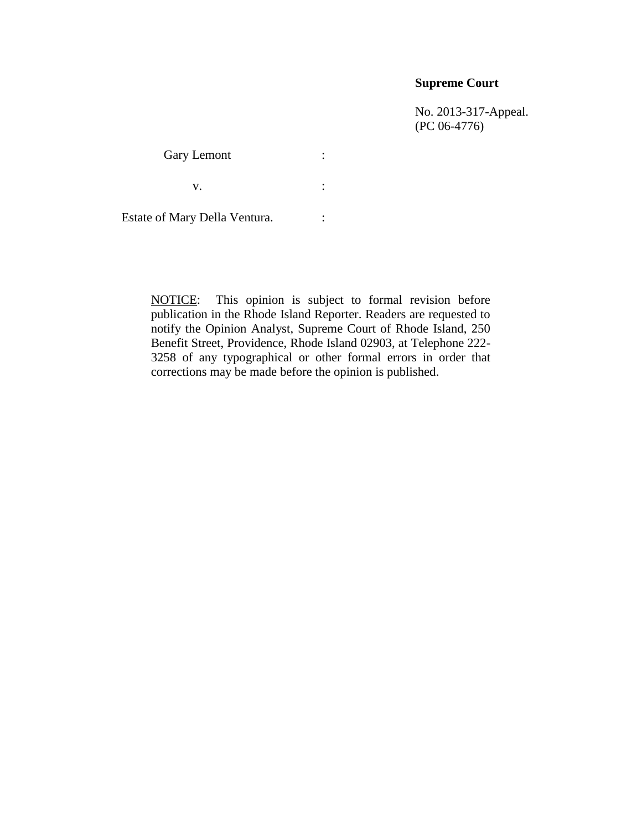## **Supreme Court**

No. 2013-317-Appeal. (PC 06-4776)

Gary Lemont :

 $\mathbf{v}$ .  $\qquad \qquad$  :

Estate of Mary Della Ventura. : :

NOTICE: This opinion is subject to formal revision before publication in the Rhode Island Reporter. Readers are requested to notify the Opinion Analyst, Supreme Court of Rhode Island, 250 Benefit Street, Providence, Rhode Island 02903, at Telephone 222- 3258 of any typographical or other formal errors in order that corrections may be made before the opinion is published.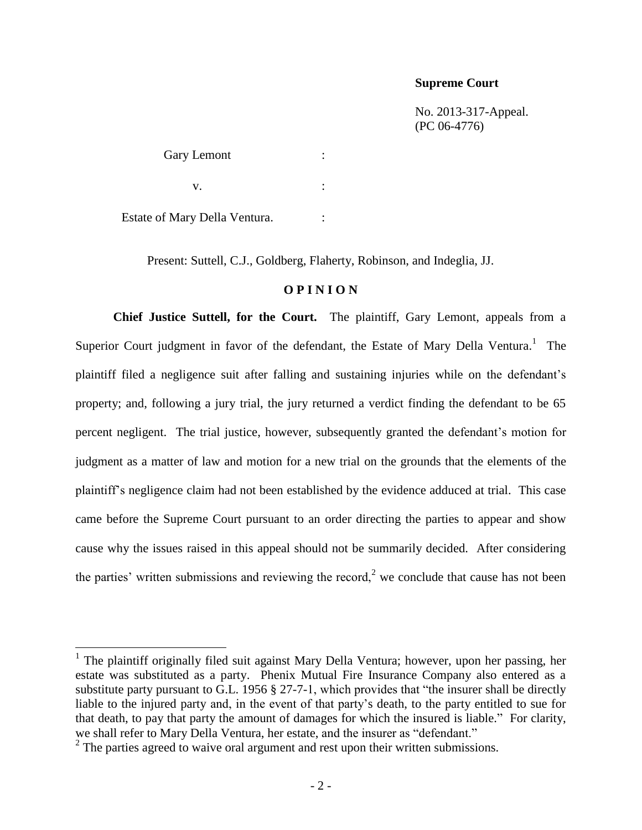#### **Supreme Court**

No. 2013-317-Appeal. (PC 06-4776)

Gary Lemont :  $\mathbf{v}$ .  $\qquad \qquad$  : Estate of Mary Della Ventura.  $\cdot$ :

Present: Suttell, C.J., Goldberg, Flaherty, Robinson, and Indeglia, JJ.

### **O P I N I O N**

**Chief Justice Suttell, for the Court.** The plaintiff, Gary Lemont, appeals from a Superior Court judgment in favor of the defendant, the Estate of Mary Della Ventura.<sup>1</sup> The plaintiff filed a negligence suit after falling and sustaining injuries while on the defendant's property; and, following a jury trial, the jury returned a verdict finding the defendant to be 65 percent negligent. The trial justice, however, subsequently granted the defendant's motion for judgment as a matter of law and motion for a new trial on the grounds that the elements of the plaintiff's negligence claim had not been established by the evidence adduced at trial. This case came before the Supreme Court pursuant to an order directing the parties to appear and show cause why the issues raised in this appeal should not be summarily decided. After considering the parties' written submissions and reviewing the record,<sup>2</sup> we conclude that cause has not been

<sup>&</sup>lt;sup>1</sup> The plaintiff originally filed suit against Mary Della Ventura; however, upon her passing, her estate was substituted as a party. Phenix Mutual Fire Insurance Company also entered as a substitute party pursuant to G.L. 1956 § 27-7-1, which provides that "the insurer shall be directly liable to the injured party and, in the event of that party's death, to the party entitled to sue for that death, to pay that party the amount of damages for which the insured is liable." For clarity, we shall refer to Mary Della Ventura, her estate, and the insurer as "defendant."

 $2^2$  The parties agreed to waive oral argument and rest upon their written submissions.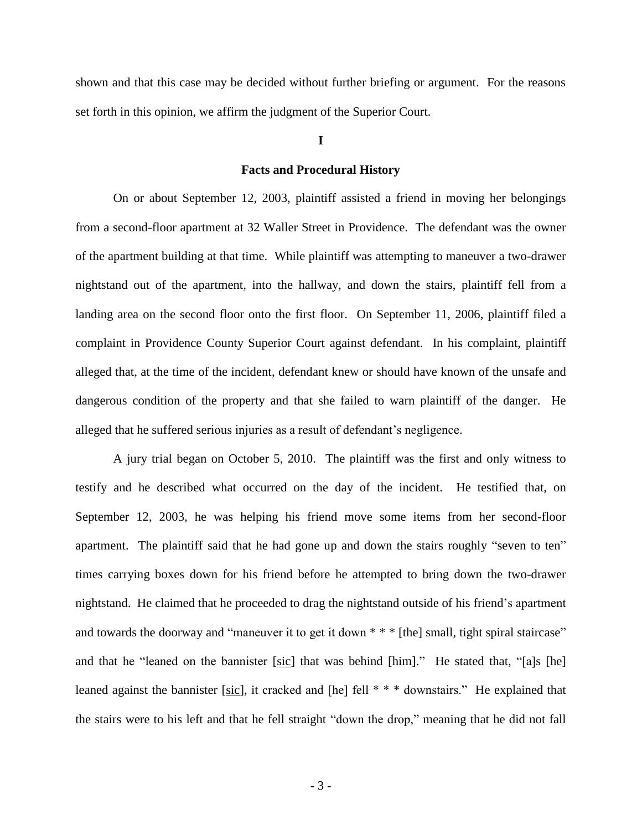shown and that this case may be decided without further briefing or argument. For the reasons set forth in this opinion, we affirm the judgment of the Superior Court.

### **I**

#### **Facts and Procedural History**

On or about September 12, 2003, plaintiff assisted a friend in moving her belongings from a second-floor apartment at 32 Waller Street in Providence. The defendant was the owner of the apartment building at that time. While plaintiff was attempting to maneuver a two-drawer nightstand out of the apartment, into the hallway, and down the stairs, plaintiff fell from a landing area on the second floor onto the first floor. On September 11, 2006, plaintiff filed a complaint in Providence County Superior Court against defendant. In his complaint, plaintiff alleged that, at the time of the incident, defendant knew or should have known of the unsafe and dangerous condition of the property and that she failed to warn plaintiff of the danger. He alleged that he suffered serious injuries as a result of defendant's negligence.

A jury trial began on October 5, 2010. The plaintiff was the first and only witness to testify and he described what occurred on the day of the incident. He testified that, on September 12, 2003, he was helping his friend move some items from her second-floor apartment. The plaintiff said that he had gone up and down the stairs roughly "seven to ten" times carrying boxes down for his friend before he attempted to bring down the two-drawer nightstand.He claimed that he proceeded to drag the nightstand outside of his friend's apartment and towards the doorway and "maneuver it to get it down \* \* \* [the] small, tight spiral staircase" and that he "leaned on the bannister [sic] that was behind [him]." He stated that, "[a]s [he] leaned against the bannister [sic], it cracked and [he] fell \* \* \* downstairs." He explained that the stairs were to his left and that he fell straight "down the drop," meaning that he did not fall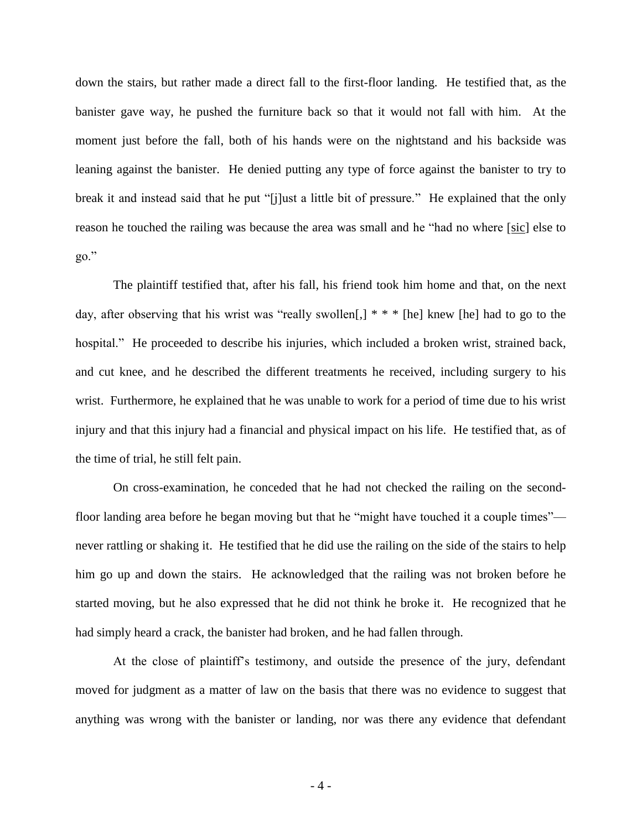down the stairs, but rather made a direct fall to the first-floor landing. He testified that, as the banister gave way, he pushed the furniture back so that it would not fall with him. At the moment just before the fall, both of his hands were on the nightstand and his backside was leaning against the banister. He denied putting any type of force against the banister to try to break it and instead said that he put "[j]ust a little bit of pressure." He explained that the only reason he touched the railing was because the area was small and he "had no where [sic] else to go."

The plaintiff testified that, after his fall, his friend took him home and that, on the next day, after observing that his wrist was "really swollen[,] \* \* \* [he] knew [he] had to go to the hospital." He proceeded to describe his injuries, which included a broken wrist, strained back, and cut knee, and he described the different treatments he received, including surgery to his wrist. Furthermore, he explained that he was unable to work for a period of time due to his wrist injury and that this injury had a financial and physical impact on his life. He testified that, as of the time of trial, he still felt pain.

On cross-examination, he conceded that he had not checked the railing on the secondfloor landing area before he began moving but that he "might have touched it a couple times" never rattling or shaking it. He testified that he did use the railing on the side of the stairs to help him go up and down the stairs. He acknowledged that the railing was not broken before he started moving, but he also expressed that he did not think he broke it. He recognized that he had simply heard a crack, the banister had broken, and he had fallen through.

At the close of plaintiff's testimony, and outside the presence of the jury, defendant moved for judgment as a matter of law on the basis that there was no evidence to suggest that anything was wrong with the banister or landing, nor was there any evidence that defendant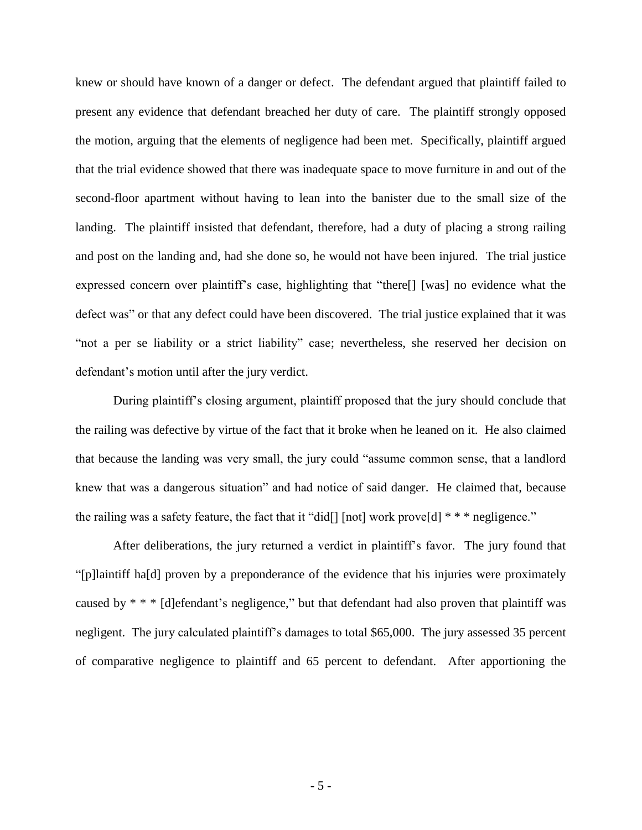knew or should have known of a danger or defect. The defendant argued that plaintiff failed to present any evidence that defendant breached her duty of care. The plaintiff strongly opposed the motion, arguing that the elements of negligence had been met. Specifically, plaintiff argued that the trial evidence showed that there was inadequate space to move furniture in and out of the second-floor apartment without having to lean into the banister due to the small size of the landing. The plaintiff insisted that defendant, therefore, had a duty of placing a strong railing and post on the landing and, had she done so, he would not have been injured. The trial justice expressed concern over plaintiff's case, highlighting that "there[] [was] no evidence what the defect was" or that any defect could have been discovered. The trial justice explained that it was "not a per se liability or a strict liability" case; nevertheless, she reserved her decision on defendant's motion until after the jury verdict.

During plaintiff's closing argument, plaintiff proposed that the jury should conclude that the railing was defective by virtue of the fact that it broke when he leaned on it. He also claimed that because the landing was very small, the jury could "assume common sense, that a landlord knew that was a dangerous situation" and had notice of said danger. He claimed that, because the railing was a safety feature, the fact that it "did[] [not] work prove[d] \* \* \* negligence."

After deliberations, the jury returned a verdict in plaintiff's favor. The jury found that "[p]laintiff ha[d] proven by a preponderance of the evidence that his injuries were proximately caused by \* \* \* [d]efendant's negligence," but that defendant had also proven that plaintiff was negligent. The jury calculated plaintiff's damages to total \$65,000. The jury assessed 35 percent of comparative negligence to plaintiff and 65 percent to defendant. After apportioning the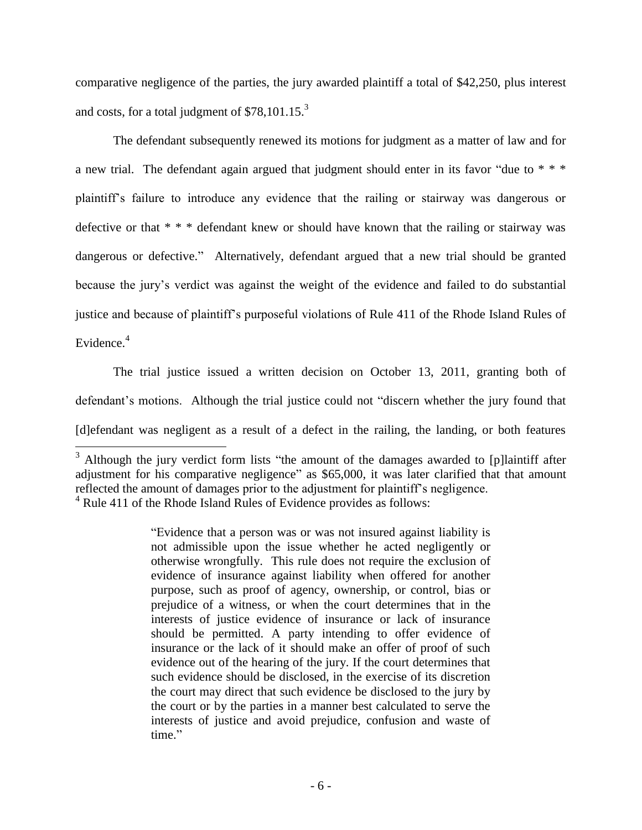comparative negligence of the parties, the jury awarded plaintiff a total of \$42,250, plus interest and costs, for a total judgment of  $$78,101.15.<sup>3</sup>$ 

The defendant subsequently renewed its motions for judgment as a matter of law and for a new trial. The defendant again argued that judgment should enter in its favor "due to  $* * *$ plaintiff's failure to introduce any evidence that the railing or stairway was dangerous or defective or that \* \* \* defendant knew or should have known that the railing or stairway was dangerous or defective."Alternatively, defendant argued that a new trial should be granted because the jury's verdict was against the weight of the evidence and failed to do substantial justice and because of plaintiff's purposeful violations of Rule 411 of the Rhode Island Rules of Evidence. 4

The trial justice issued a written decision on October 13, 2011, granting both of defendant's motions. Although the trial justice could not "discern whether the jury found that [d]efendant was negligent as a result of a defect in the railing, the landing, or both features

 $\overline{\phantom{a}}$ 

 $3$  Although the jury verdict form lists "the amount of the damages awarded to [p]laintiff after adjustment for his comparative negligence" as \$65,000, it was later clarified that that amount reflected the amount of damages prior to the adjustment for plaintiff's negligence.  $4$  [Rule 411 of the Rhode Island Rules of Evidence](https://1.next.westlaw.com/Link/Document/FullText?findType=L&pubNum=1009722&cite=RIRREVR411&originatingDoc=Ib00f8e0d698a11e4a795ac035416da91&refType=LQ&originationContext=document&transitionType=DocumentItem&contextData=(sc.Keycite)) provides as follows:

<sup>&</sup>quot;Evidence that a person was or was not insured against liability is not admissible upon the issue whether he acted negligently or otherwise wrongfully. This rule does not require the exclusion of evidence of insurance against liability when offered for another purpose, such as proof of agency, ownership, or control, bias or prejudice of a witness, or when the court determines that in the interests of justice evidence of insurance or lack of insurance should be permitted. A party intending to offer evidence of insurance or the lack of it should make an offer of proof of such evidence out of the hearing of the jury. If the court determines that such evidence should be disclosed, in the exercise of its discretion the court may direct that such evidence be disclosed to the jury by the court or by the parties in a manner best calculated to serve the interests of justice and avoid prejudice, confusion and waste of time."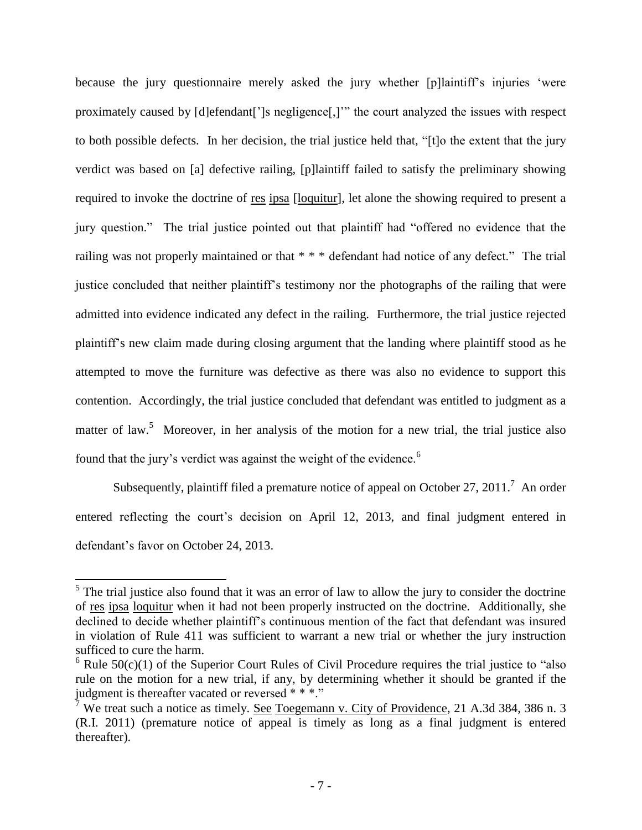because the jury questionnaire merely asked the jury whether [p]laintiff's injuries 'were proximately caused by [d]efendant[']s negligence[,]'" the court analyzed the issues with respect to both possible defects. In her decision, the trial justice held that, "[t]o the extent that the jury verdict was based on [a] defective railing, [p]laintiff failed to satisfy the preliminary showing required to invoke the doctrine of res ipsa [loquitur], let alone the showing required to present a jury question." The trial justice pointed out that plaintiff had "offered no evidence that the railing was not properly maintained or that \* \* \* defendant had notice of any defect." The trial justice concluded that neither plaintiff's testimony nor the photographs of the railing that were admitted into evidence indicated any defect in the railing. Furthermore, the trial justice rejected plaintiff's new claim made during closing argument that the landing where plaintiff stood as he attempted to move the furniture was defective as there was also no evidence to support this contention. Accordingly, the trial justice concluded that defendant was entitled to judgment as a matter of law.<sup>5</sup> Moreover, in her analysis of the motion for a new trial, the trial justice also found that the jury's verdict was against the weight of the evidence.<sup>6</sup>

Subsequently, plaintiff filed a premature notice of appeal on October 27, 2011.<sup>7</sup> An order entered reflecting the court's decision on April 12, 2013, and final judgment entered in defendant's favor on October 24, 2013.

<sup>&</sup>lt;sup>5</sup>The trial justice also found that it was an error of law to allow the jury to consider the doctrine of res ipsa loquitur when it had not been properly instructed on the doctrine. Additionally, she declined to decide whether plaintiff's continuous mention of the fact that defendant was insured in violation of Rule 411 was sufficient to warrant a new trial or whether the jury instruction sufficed to cure the harm.

 $6$  Rule  $50(c)(1)$  of the Superior Court Rules of Civil Procedure requires the trial justice to "also" rule on the motion for a new trial, if any, by determining whether it should be granted if the judgment is thereafter vacated or reversed \* \* \*."

<sup>&</sup>lt;sup>7</sup> We treat such a notice as timely. See Toegemann v. City of Providence, 21 A.3d 384, 386 n. 3 (R.I. 2011) (premature notice of appeal is timely as long as a final judgment is entered thereafter).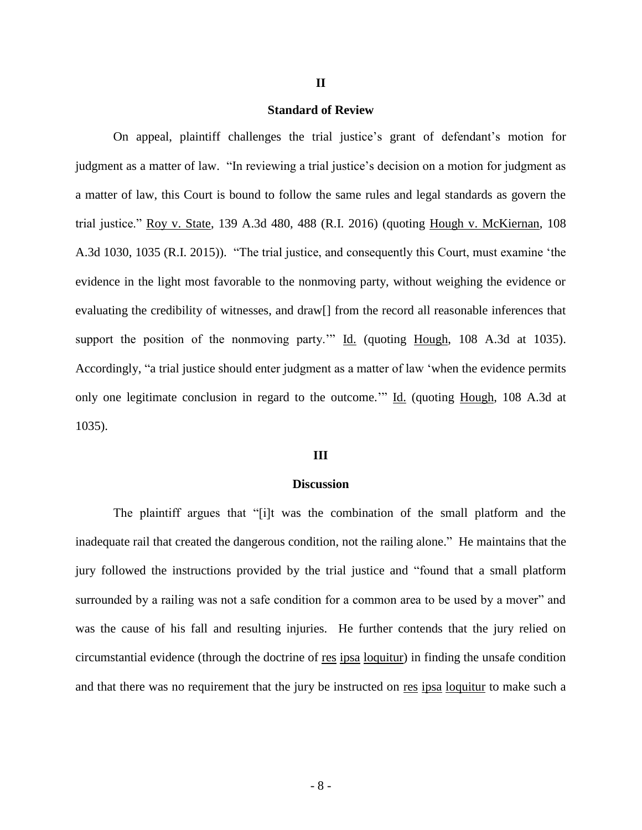### **Standard of Review**

**II**

On appeal, plaintiff challenges the trial justice's grant of defendant's motion for judgment as a matter of law. "In reviewing a trial justice's decision on a motion for judgment as a matter of law, this Court is bound to follow the same rules and legal standards as govern the trial justice." Roy v. State, 139 A.3d 480, 488 (R.I. 2016) (quoting Hough v. McKiernan, 108 A.3d 1030, 1035 (R.I. 2015)). "The trial justice, and consequently this Court, must examine 'the evidence in the light most favorable to the nonmoving party, without weighing the evidence or evaluating the credibility of witnesses, and draw[] from the record all reasonable inferences that support the position of the nonmoving party.""  $\underline{Id}$ . (quoting  $\underline{Hough}$ , 108 A.3d at 1035). Accordingly, "a trial justice should enter judgment as a matter of law 'when the evidence permits only one legitimate conclusion in regard to the outcome." Id. (quoting Hough, 108 A.3d at 1035).

#### **III**

#### **Discussion**

The plaintiff argues that "[i]t was the combination of the small platform and the inadequate rail that created the dangerous condition, not the railing alone." He maintains that the jury followed the instructions provided by the trial justice and "found that a small platform surrounded by a railing was not a safe condition for a common area to be used by a mover" and was the cause of his fall and resulting injuries. He further contends that the jury relied on circumstantial evidence (through the doctrine of res ipsa loquitur) in finding the unsafe condition and that there was no requirement that the jury be instructed on res ipsa loquitur to make such a

- 8 -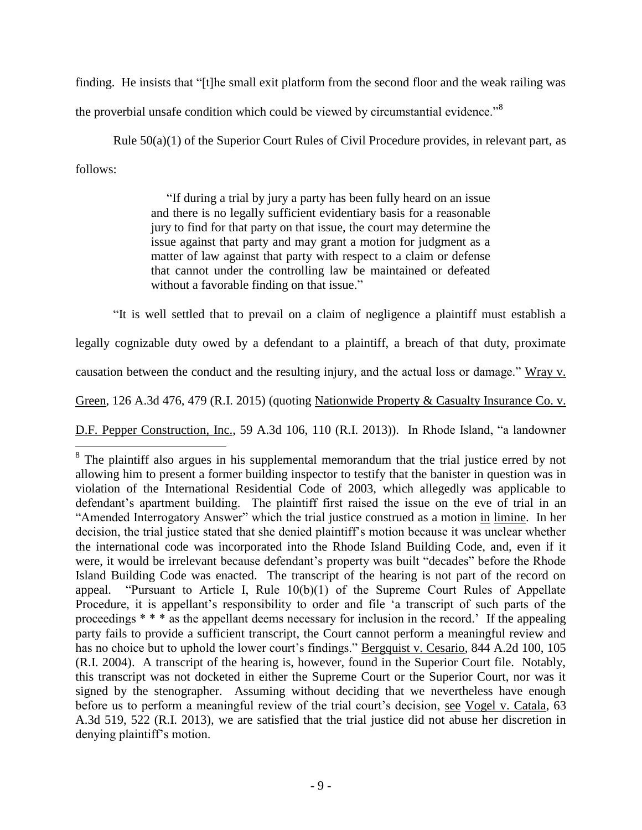finding. He insists that "[t]he small exit platform from the second floor and the weak railing was

the proverbial unsafe condition which could be viewed by circumstantial evidence."<sup>8</sup>

Rule 50(a)(1) of the Superior Court Rules of Civil Procedure provides, in relevant part, as follows:

> "If during a trial by jury a party has been fully heard on an issue and there is no legally sufficient evidentiary basis for a reasonable jury to find for that party on that issue, the court may determine the issue against that party and may grant a motion for judgment as a matter of law against that party with respect to a claim or defense that cannot under the controlling law be maintained or defeated without a favorable finding on that issue."

"It is well settled that to prevail on a claim of negligence a plaintiff must establish a

legally cognizable duty owed by a defendant to a plaintiff, a breach of that duty, proximate

causation between the conduct and the resulting injury, and the actual loss or damage." Wray v.

Green, 126 A.3d 476, 479 (R.I. 2015) (quoting Nationwide Property & Casualty Insurance Co. v.

D.F. Pepper Construction, Inc., 59 A.3d 106, 110 (R.I. 2013)). In Rhode Island, "a landowner

<sup>&</sup>lt;sup>8</sup> The plaintiff also argues in his supplemental memorandum that the trial justice erred by not allowing him to present a former building inspector to testify that the banister in question was in violation of the International Residential Code of 2003, which allegedly was applicable to defendant's apartment building. The plaintiff first raised the issue on the eve of trial in an "Amended Interrogatory Answer" which the trial justice construed as a motion in limine. In her decision, the trial justice stated that she denied plaintiff's motion because it was unclear whether the international code was incorporated into the Rhode Island Building Code, and, even if it were, it would be irrelevant because defendant's property was built "decades" before the Rhode Island Building Code was enacted. The transcript of the hearing is not part of the record on appeal. "Pursuant to Article I, Rule 10(b)(1) of the Supreme Court Rules of Appellate Procedure, it is appellant's responsibility to order and file 'a transcript of such parts of the proceedings \* \* \* as the appellant deems necessary for inclusion in the record.' If the appealing party fails to provide a sufficient transcript, the Court cannot perform a meaningful review and has no choice but to uphold the lower court's findings." Bergquist v. Cesario, 844 A.2d 100, 105 (R.I. 2004). A transcript of the hearing is, however, found in the Superior Court file. Notably, this transcript was not docketed in either the Supreme Court or the Superior Court, nor was it signed by the stenographer. Assuming without deciding that we nevertheless have enough before us to perform a meaningful review of the trial court's decision, see Vogel v. Catala, 63 A.3d 519, 522 (R.I. 2013), we are satisfied that the trial justice did not abuse her discretion in denying plaintiff's motion.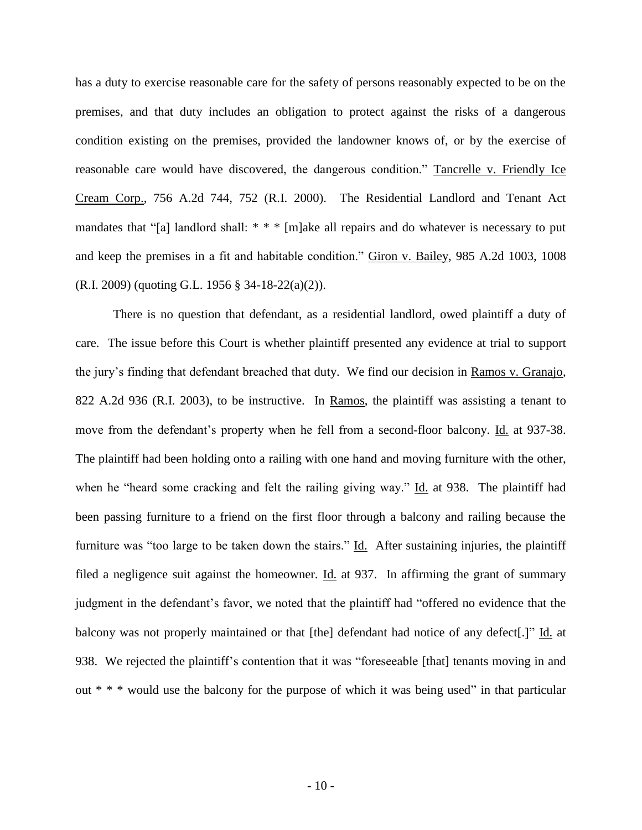has a duty to exercise reasonable care for the safety of persons reasonably expected to be on the premises, and that duty includes an obligation to protect against the risks of a dangerous condition existing on the premises, provided the landowner knows of, or by the exercise of reasonable care would have discovered, the dangerous condition." Tancrelle v. Friendly Ice Cream Corp., 756 A.2d 744, 752 (R.I. 2000). The Residential Landlord and Tenant Act mandates that "[a] landlord shall: \* \* \* [m]ake all repairs and do whatever is necessary to put and keep the premises in a fit and habitable condition." Giron v. Bailey, 985 A.2d 1003, 1008 (R.I. 2009) (quoting G.L. 1956 § 34-18-22(a)(2)).

There is no question that defendant, as a residential landlord, owed plaintiff a duty of care. The issue before this Court is whether plaintiff presented any evidence at trial to support the jury's finding that defendant breached that duty. We find our decision in Ramos v. Granajo, 822 A.2d 936 (R.I. 2003), to be instructive. In Ramos, the plaintiff was assisting a tenant to move from the defendant's property when he fell from a second-floor balcony. Id. at 937-38. The plaintiff had been holding onto a railing with one hand and moving furniture with the other, when he "heard some cracking and felt the railing giving way." Id. at 938. The plaintiff had been passing furniture to a friend on the first floor through a balcony and railing because the furniture was "too large to be taken down the stairs." Id. After sustaining injuries, the plaintiff filed a negligence suit against the homeowner. Id. at 937. In affirming the grant of summary judgment in the defendant's favor, we noted that the plaintiff had "offered no evidence that the balcony was not properly maintained or that [the] defendant had notice of any defect[.]" Id. at 938. We rejected the plaintiff's contention that it was "foreseeable [that] tenants moving in and out \* \* \* would use the balcony for the purpose of which it was being used" in that particular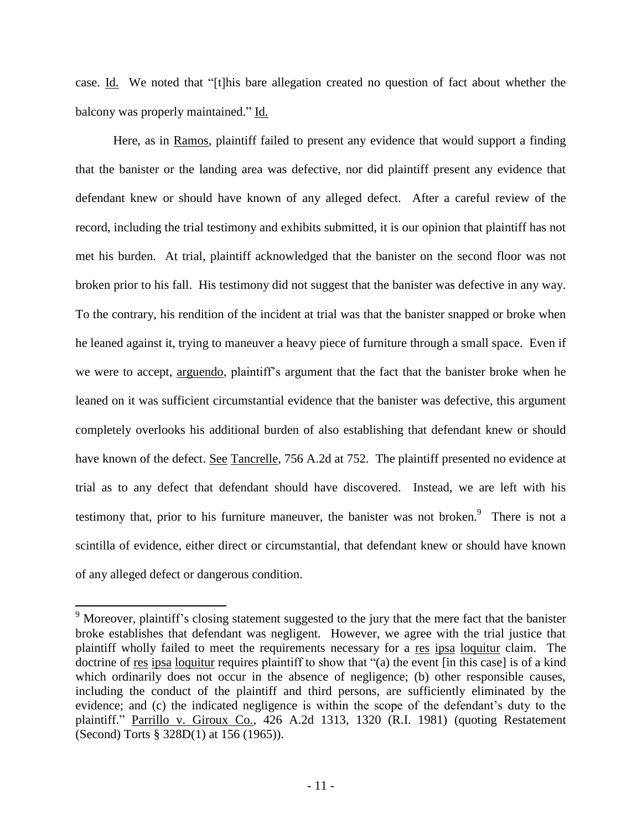case. Id. We noted that "[t]his bare allegation created no question of fact about whether the balcony was properly maintained." Id.

Here, as in Ramos, plaintiff failed to present any evidence that would support a finding that the banister or the landing area was defective, nor did plaintiff present any evidence that defendant knew or should have known of any alleged defect. After a careful review of the record, including the trial testimony and exhibits submitted, it is our opinion that plaintiff has not met his burden. At trial, plaintiff acknowledged that the banister on the second floor was not broken prior to his fall. His testimony did not suggest that the banister was defective in any way. To the contrary, his rendition of the incident at trial was that the banister snapped or broke when he leaned against it, trying to maneuver a heavy piece of furniture through a small space. Even if we were to accept, arguendo, plaintiff's argument that the fact that the banister broke when he leaned on it was sufficient circumstantial evidence that the banister was defective, this argument completely overlooks his additional burden of also establishing that defendant knew or should have known of the defect. See Tancrelle, 756 A.2d at 752. The plaintiff presented no evidence at trial as to any defect that defendant should have discovered. Instead, we are left with his testimony that, prior to his furniture maneuver, the banister was not broken.<sup>9</sup> There is not a scintilla of evidence, either direct or circumstantial, that defendant knew or should have known of any alleged defect or dangerous condition.

l

 $9$  Moreover, plaintiff's closing statement suggested to the jury that the mere fact that the banister broke establishes that defendant was negligent. However, we agree with the trial justice that plaintiff wholly failed to meet the requirements necessary for a res ipsa loquitur claim. The doctrine of res ipsa loquitur requires plaintiff to show that "(a) the event [in this case] is of a kind which ordinarily does not occur in the absence of negligence; (b) other responsible causes, including the conduct of the plaintiff and third persons, are sufficiently eliminated by the evidence; and (c) the indicated negligence is within the scope of the defendant's duty to the plaintiff." Parrillo v. Giroux Co., 426 A.2d 1313, 1320 (R.I. 1981) (quoting Restatement (Second) Torts § 328D(1) at 156 (1965)).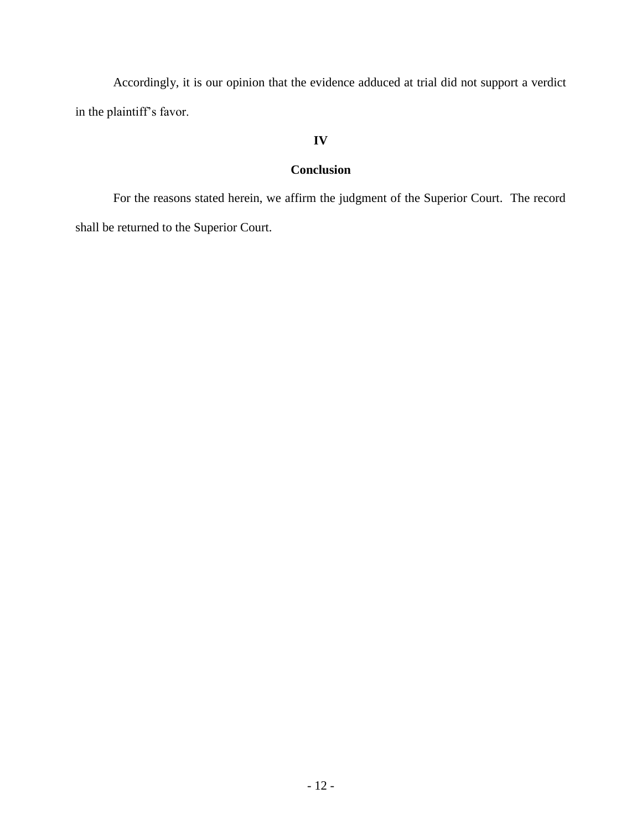Accordingly, it is our opinion that the evidence adduced at trial did not support a verdict in the plaintiff's favor.

## **IV**

# **Conclusion**

For the reasons stated herein, we affirm the judgment of the Superior Court. The record shall be returned to the Superior Court.